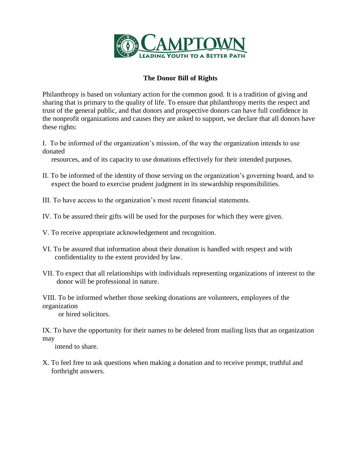

## **The Donor Bill of Rights**

Philanthropy is based on voluntary action for the common good. It is a tradition of giving and sharing that is primary to the quality of life. To ensure that philanthropy merits the respect and trust of the general public, and that donors and prospective donors can have full confidence in the nonprofit organizations and causes they are asked to support, we declare that all donors have these rights:

I. To be informed of the organization's mission, of the way the organization intends to use donated

resources, and of its capacity to use donations effectively for their intended purposes.

- II. To be informed of the identity of those serving on the organization's governing board, and to expect the board to exercise prudent judgment in its stewardship responsibilities.
- III. To have access to the organization's most recent financial statements.
- IV. To be assured their gifts will be used for the purposes for which they were given.
- V. To receive appropriate acknowledgement and recognition.
- VI. To be assured that information about their donation is handled with respect and with confidentiality to the extent provided by law.
- VII. To expect that all relationships with individuals representing organizations of interest to the donor will be professional in nature.

VIII. To be informed whether those seeking donations are volunteers, employees of the organization

or hired solicitors.

IX. To have the opportunity for their names to be deleted from mailing lists that an organization may

intend to share.

X. To feel free to ask questions when making a donation and to receive prompt, truthful and forthright answers.